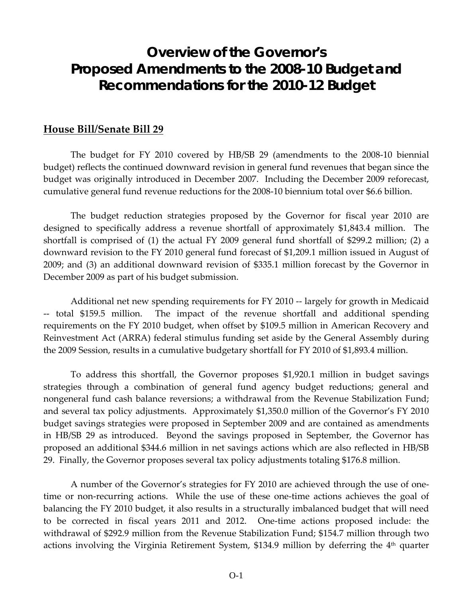# **Overview of the Governor's Proposed Amendments to the 2008-10 Budget and Recommendations for the 2010-12 Budget**

#### **House Bill/Senate Bill 29**

The budget for FY 2010 covered by HB/SB 29 (amendments to the 2008‐10 biennial budget) reflects the continued downward revision in general fund revenues that began since the budget was originally introduced in December 2007. Including the December 2009 reforecast, cumulative general fund revenue reductions for the 2008‐10 biennium total over \$6.6 billion.

The budget reduction strategies proposed by the Governor for fiscal year 2010 are designed to specifically address a revenue shortfall of approximately \$1,843.4 million. The shortfall is comprised of (1) the actual FY 2009 general fund shortfall of \$299.2 million; (2) a downward revision to the FY 2010 general fund forecast of \$1,209.1 million issued in August of 2009; and (3) an additional downward revision of \$335.1 million forecast by the Governor in December 2009 as part of his budget submission.

Additional net new spending requirements for FY 2010 ‐‐ largely for growth in Medicaid ‐‐ total \$159.5 million. The impact of the revenue shortfall and additional spending requirements on the FY 2010 budget, when offset by \$109.5 million in American Recovery and Reinvestment Act (ARRA) federal stimulus funding set aside by the General Assembly during the 2009 Session, results in a cumulative budgetary shortfall for FY 2010 of \$1,893.4 million.

To address this shortfall, the Governor proposes \$1,920.1 million in budget savings strategies through a combination of general fund agency budget reductions; general and nongeneral fund cash balance reversions; a withdrawal from the Revenue Stabilization Fund; and several tax policy adjustments. Approximately \$1,350.0 million of the Governor's FY 2010 budget savings strategies were proposed in September 2009 and are contained as amendments in HB/SB 29 as introduced. Beyond the savings proposed in September, the Governor has proposed an additional \$344.6 million in net savings actions which are also reflected in HB/SB 29. Finally, the Governor proposes several tax policy adjustments totaling \$176.8 million.

A number of the Governor's strategies for FY 2010 are achieved through the use of one‐ time or non-recurring actions. While the use of these one-time actions achieves the goal of balancing the FY 2010 budget, it also results in a structurally imbalanced budget that will need to be corrected in fiscal years 2011 and 2012. One-time actions proposed include: the withdrawal of \$292.9 million from the Revenue Stabilization Fund; \$154.7 million through two actions involving the Virginia Retirement System, \$134.9 million by deferring the 4<sup>th</sup> quarter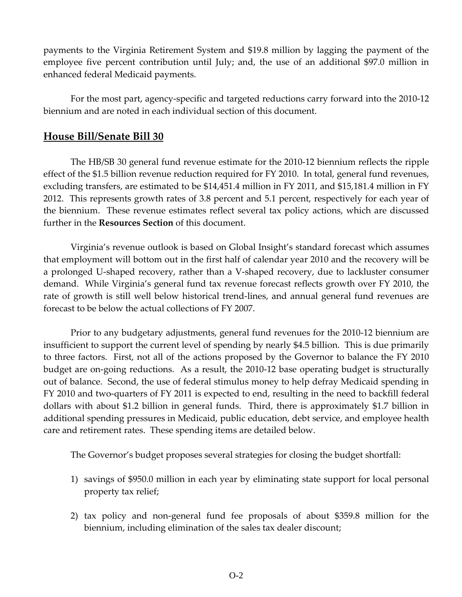payments to the Virginia Retirement System and \$19.8 million by lagging the payment of the employee five percent contribution until July; and, the use of an additional \$97.0 million in enhanced federal Medicaid payments.

For the most part, agency-specific and targeted reductions carry forward into the 2010-12 biennium and are noted in each individual section of this document.

#### **House Bill/Senate Bill 30**

The HB/SB 30 general fund revenue estimate for the 2010‐12 biennium reflects the ripple effect of the \$1.5 billion revenue reduction required for FY 2010. In total, general fund revenues, excluding transfers, are estimated to be \$14,451.4 million in FY 2011, and \$15,181.4 million in FY 2012. This represents growth rates of 3.8 percent and 5.1 percent, respectively for each year of the biennium. These revenue estimates reflect several tax policy actions, which are discussed further in the **Resources Section** of this document.

Virginia's revenue outlook is based on Global Insight's standard forecast which assumes that employment will bottom out in the first half of calendar year 2010 and the recovery will be a prolonged U‐shaped recovery, rather than a V‐shaped recovery, due to lackluster consumer demand. While Virginia's general fund tax revenue forecast reflects growth over FY 2010, the rate of growth is still well below historical trend‐lines, and annual general fund revenues are forecast to be below the actual collections of FY 2007.

Prior to any budgetary adjustments, general fund revenues for the 2010‐12 biennium are insufficient to support the current level of spending by nearly \$4.5 billion. This is due primarily to three factors. First, not all of the actions proposed by the Governor to balance the FY 2010 budget are on‐going reductions. As a result, the 2010‐12 base operating budget is structurally out of balance. Second, the use of federal stimulus money to help defray Medicaid spending in FY 2010 and two-quarters of FY 2011 is expected to end, resulting in the need to backfill federal dollars with about \$1.2 billion in general funds. Third, there is approximately \$1.7 billion in additional spending pressures in Medicaid, public education, debt service, and employee health care and retirement rates. These spending items are detailed below.

The Governor's budget proposes several strategies for closing the budget shortfall:

- 1) savings of \$950.0 million in each year by eliminating state support for local personal property tax relief;
- 2) tax policy and non‐general fund fee proposals of about \$359.8 million for the biennium, including elimination of the sales tax dealer discount;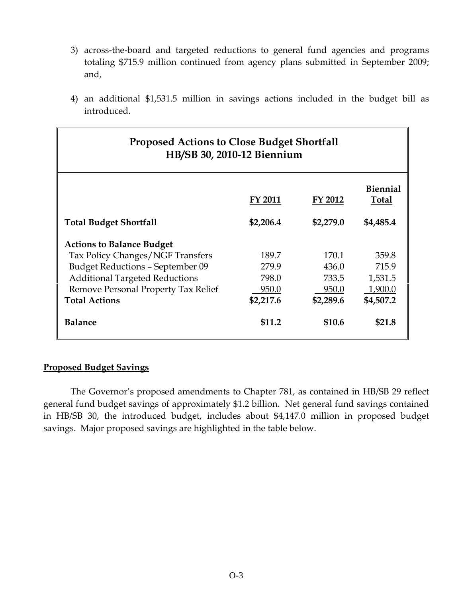- 3) across-the-board and targeted reductions to general fund agencies and programs totaling \$715.9 million continued from agency plans submitted in September 2009; and,
- 4) an additional \$1,531.5 million in savings actions included in the budget bill as introduced.

| <b>Proposed Actions to Close Budget Shortfall</b><br>HB/SB 30, 2010-12 Biennium |                |           |                                 |
|---------------------------------------------------------------------------------|----------------|-----------|---------------------------------|
|                                                                                 | <b>FY 2011</b> | FY 2012   | <b>Biennial</b><br><b>Total</b> |
| <b>Total Budget Shortfall</b>                                                   | \$2,206.4      | \$2,279.0 | \$4,485.4                       |
| <b>Actions to Balance Budget</b>                                                |                |           |                                 |
| Tax Policy Changes/NGF Transfers                                                | 189.7          | 170.1     | 359.8                           |
| <b>Budget Reductions - September 09</b>                                         | 279.9          | 436.0     | 715.9                           |
| <b>Additional Targeted Reductions</b>                                           | 798.0          | 733.5     | 1,531.5                         |
| Remove Personal Property Tax Relief                                             | 950.0          | 950.0     | 1,900.0                         |
| <b>Total Actions</b>                                                            | \$2,217.6      | \$2,289.6 | \$4,507.2                       |
| <b>Balance</b>                                                                  | \$11.2         | \$10.6    | \$21.8                          |

#### **Proposed Budget Savings**

The Governor's proposed amendments to Chapter 781, as contained in HB/SB 29 reflect general fund budget savings of approximately \$1.2 billion. Net general fund savings contained in HB/SB 30, the introduced budget, includes about \$4,147.0 million in proposed budget savings. Major proposed savings are highlighted in the table below.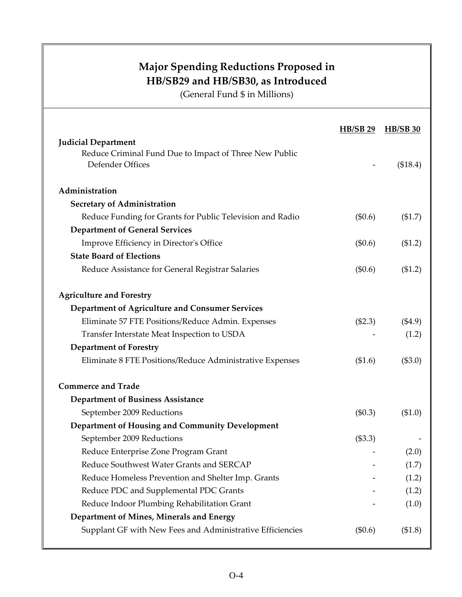|                                                           | <b>HB/SB 29</b> | <b>HB/SB 30</b> |
|-----------------------------------------------------------|-----------------|-----------------|
| <b>Judicial Department</b>                                |                 |                 |
| Reduce Criminal Fund Due to Impact of Three New Public    |                 |                 |
| Defender Offices                                          |                 | (\$18.4)        |
| Administration                                            |                 |                 |
| <b>Secretary of Administration</b>                        |                 |                 |
| Reduce Funding for Grants for Public Television and Radio | $(\$0.6)$       | (\$1.7)         |
| <b>Department of General Services</b>                     |                 |                 |
| Improve Efficiency in Director's Office                   | $(\$0.6)$       | ( \$1.2)        |
| <b>State Board of Elections</b>                           |                 |                 |
| Reduce Assistance for General Registrar Salaries          | (\$0.6)         | (\$1.2)         |
| <b>Agriculture and Forestry</b>                           |                 |                 |
| Department of Agriculture and Consumer Services           |                 |                 |
| Eliminate 57 FTE Positions/Reduce Admin. Expenses         | (\$2.3)         | $(\$4.9)$       |
| Transfer Interstate Meat Inspection to USDA               |                 | (1.2)           |
| <b>Department of Forestry</b>                             |                 |                 |
| Eliminate 8 FTE Positions/Reduce Administrative Expenses  | (\$1.6)         | (\$3.0)         |
| <b>Commerce and Trade</b>                                 |                 |                 |
| <b>Department of Business Assistance</b>                  |                 |                 |
| September 2009 Reductions                                 | (\$0.3)         | (\$1.0)         |
| Department of Housing and Community Development           |                 |                 |
| September 2009 Reductions                                 | (\$3.3)         |                 |
| Reduce Enterprise Zone Program Grant                      |                 | (2.0)           |
| Reduce Southwest Water Grants and SERCAP                  |                 | (1.7)           |
| Reduce Homeless Prevention and Shelter Imp. Grants        |                 | (1.2)           |
| Reduce PDC and Supplemental PDC Grants                    |                 | (1.2)           |
| Reduce Indoor Plumbing Rehabilitation Grant               |                 | (1.0)           |
| Department of Mines, Minerals and Energy                  |                 |                 |
| Supplant GF with New Fees and Administrative Efficiencies | (\$0.6)         | (\$1.8)         |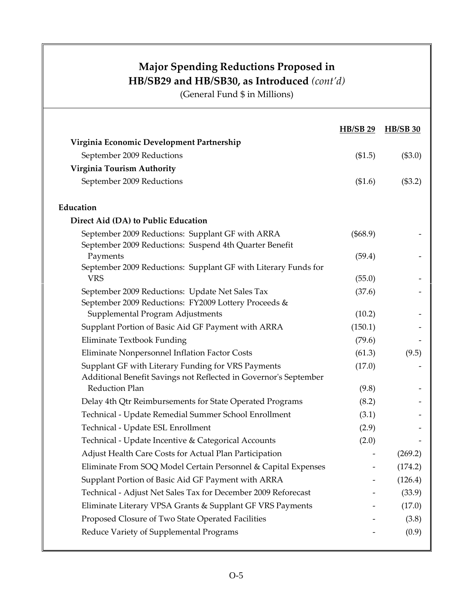|                                                                                                         | <b>HB/SB 29</b> | <b>HB/SB 30</b> |
|---------------------------------------------------------------------------------------------------------|-----------------|-----------------|
| Virginia Economic Development Partnership                                                               |                 |                 |
| September 2009 Reductions                                                                               | (\$1.5)         | (\$3.0)         |
| Virginia Tourism Authority                                                                              |                 |                 |
| September 2009 Reductions                                                                               | (\$1.6)         | (\$3.2)         |
| Education                                                                                               |                 |                 |
| Direct Aid (DA) to Public Education                                                                     |                 |                 |
| September 2009 Reductions: Supplant GF with ARRA                                                        | (\$68.9)        |                 |
| September 2009 Reductions: Suspend 4th Quarter Benefit                                                  |                 |                 |
| Payments                                                                                                | (59.4)          |                 |
| September 2009 Reductions: Supplant GF with Literary Funds for<br><b>VRS</b>                            |                 |                 |
|                                                                                                         | (55.0)          |                 |
| September 2009 Reductions: Update Net Sales Tax<br>September 2009 Reductions: FY2009 Lottery Proceeds & | (37.6)          |                 |
| Supplemental Program Adjustments                                                                        | (10.2)          |                 |
| Supplant Portion of Basic Aid GF Payment with ARRA                                                      | (150.1)         |                 |
| Eliminate Textbook Funding                                                                              | (79.6)          |                 |
| Eliminate Nonpersonnel Inflation Factor Costs                                                           | (61.3)          | (9.5)           |
| Supplant GF with Literary Funding for VRS Payments                                                      | (17.0)          |                 |
| Additional Benefit Savings not Reflected in Governor's September                                        |                 |                 |
| <b>Reduction Plan</b>                                                                                   | (9.8)           |                 |
| Delay 4th Qtr Reimbursements for State Operated Programs                                                | (8.2)           |                 |
| Technical - Update Remedial Summer School Enrollment                                                    | (3.1)           |                 |
| Technical - Update ESL Enrollment                                                                       | (2.9)           |                 |
| Technical - Update Incentive & Categorical Accounts                                                     | (2.0)           |                 |
| Adjust Health Care Costs for Actual Plan Participation                                                  |                 | (269.2)         |
| Eliminate From SOQ Model Certain Personnel & Capital Expenses                                           |                 | (174.2)         |
| Supplant Portion of Basic Aid GF Payment with ARRA                                                      |                 | (126.4)         |
| Technical - Adjust Net Sales Tax for December 2009 Reforecast                                           |                 | (33.9)          |
| Eliminate Literary VPSA Grants & Supplant GF VRS Payments                                               |                 | (17.0)          |
| Proposed Closure of Two State Operated Facilities                                                       |                 | (3.8)           |
| Reduce Variety of Supplemental Programs                                                                 |                 | (0.9)           |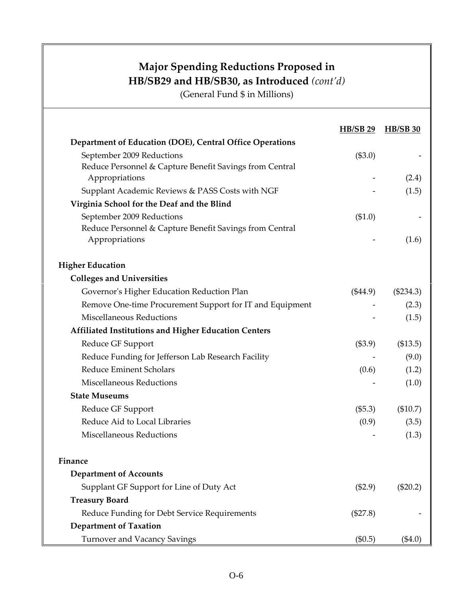|                                                          | <b>HB/SB 29</b> | <b>HB/SB 30</b> |
|----------------------------------------------------------|-----------------|-----------------|
| Department of Education (DOE), Central Office Operations |                 |                 |
| September 2009 Reductions                                | (\$3.0)         |                 |
| Reduce Personnel & Capture Benefit Savings from Central  |                 |                 |
| Appropriations                                           |                 | (2.4)           |
| Supplant Academic Reviews & PASS Costs with NGF          |                 | (1.5)           |
| Virginia School for the Deaf and the Blind               |                 |                 |
| September 2009 Reductions                                | (\$1.0)         |                 |
| Reduce Personnel & Capture Benefit Savings from Central  |                 |                 |
| Appropriations                                           |                 | (1.6)           |
| <b>Higher Education</b>                                  |                 |                 |
| <b>Colleges and Universities</b>                         |                 |                 |
| Governor's Higher Education Reduction Plan               | $(\$44.9)$      | $(\$234.3)$     |
| Remove One-time Procurement Support for IT and Equipment |                 | (2.3)           |
| <b>Miscellaneous Reductions</b>                          |                 | (1.5)           |
| Affiliated Institutions and Higher Education Centers     |                 |                 |
| Reduce GF Support                                        | (\$3.9)         | (\$13.5)        |
| Reduce Funding for Jefferson Lab Research Facility       |                 | (9.0)           |
| <b>Reduce Eminent Scholars</b>                           | (0.6)           | (1.2)           |
| Miscellaneous Reductions                                 |                 | (1.0)           |
| <b>State Museums</b>                                     |                 |                 |
| Reduce GF Support                                        | (\$5.3)         | (\$10.7)        |
| Reduce Aid to Local Libraries                            | (0.9)           | (3.5)           |
| Miscellaneous Reductions                                 |                 | (1.3)           |
|                                                          |                 |                 |
| Finance                                                  |                 |                 |
| <b>Department of Accounts</b>                            |                 |                 |
| Supplant GF Support for Line of Duty Act                 | (\$2.9)         | $(\$20.2)$      |
| <b>Treasury Board</b>                                    |                 |                 |
| Reduce Funding for Debt Service Requirements             | (\$27.8)        |                 |
| <b>Department of Taxation</b>                            |                 |                 |
| <b>Turnover and Vacancy Savings</b>                      | (\$0.5)         | $(\$4.0)$       |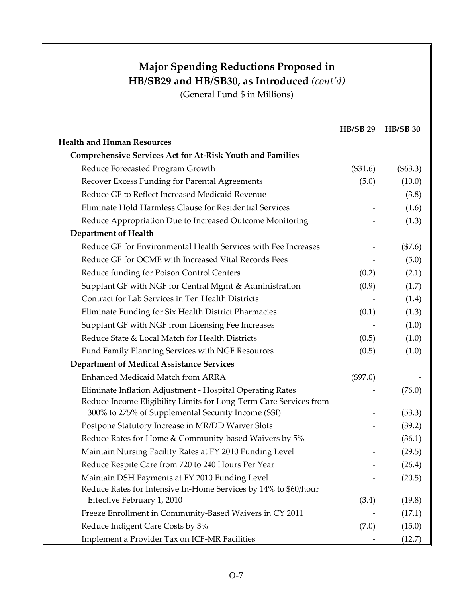|                                                                                                                                | <b>HB/SB 29</b> | <b>HB/SB 30</b> |
|--------------------------------------------------------------------------------------------------------------------------------|-----------------|-----------------|
| <b>Health and Human Resources</b>                                                                                              |                 |                 |
| <b>Comprehensive Services Act for At-Risk Youth and Families</b>                                                               |                 |                 |
| Reduce Forecasted Program Growth                                                                                               | (\$31.6)        | $(\$63.3)$      |
| Recover Excess Funding for Parental Agreements                                                                                 | (5.0)           | (10.0)          |
| Reduce GF to Reflect Increased Medicaid Revenue                                                                                |                 | (3.8)           |
| Eliminate Hold Harmless Clause for Residential Services                                                                        |                 | (1.6)           |
| Reduce Appropriation Due to Increased Outcome Monitoring                                                                       |                 | (1.3)           |
| <b>Department of Health</b>                                                                                                    |                 |                 |
| Reduce GF for Environmental Health Services with Fee Increases                                                                 |                 | (\$7.6)         |
| Reduce GF for OCME with Increased Vital Records Fees                                                                           |                 | (5.0)           |
| Reduce funding for Poison Control Centers                                                                                      | (0.2)           | (2.1)           |
| Supplant GF with NGF for Central Mgmt & Administration                                                                         | (0.9)           | (1.7)           |
| Contract for Lab Services in Ten Health Districts                                                                              |                 | (1.4)           |
| Eliminate Funding for Six Health District Pharmacies                                                                           | (0.1)           | (1.3)           |
| Supplant GF with NGF from Licensing Fee Increases                                                                              |                 | (1.0)           |
| Reduce State & Local Match for Health Districts                                                                                | (0.5)           | (1.0)           |
| Fund Family Planning Services with NGF Resources                                                                               | (0.5)           | (1.0)           |
| <b>Department of Medical Assistance Services</b>                                                                               |                 |                 |
| Enhanced Medicaid Match from ARRA                                                                                              | (\$97.0)        |                 |
| Eliminate Inflation Adjustment - Hospital Operating Rates<br>Reduce Income Eligibility Limits for Long-Term Care Services from |                 | (76.0)          |
| 300% to 275% of Supplemental Security Income (SSI)                                                                             |                 | (53.3)          |
| Postpone Statutory Increase in MR/DD Waiver Slots                                                                              |                 | (39.2)          |
| Reduce Rates for Home & Community-based Waivers by 5%                                                                          |                 | (36.1)          |
| Maintain Nursing Facility Rates at FY 2010 Funding Level                                                                       |                 | (29.5)          |
| Reduce Respite Care from 720 to 240 Hours Per Year                                                                             |                 | (26.4)          |
| Maintain DSH Payments at FY 2010 Funding Level<br>Reduce Rates for Intensive In-Home Services by 14% to \$60/hour              |                 | (20.5)          |
| Effective February 1, 2010                                                                                                     | (3.4)           | (19.8)          |
| Freeze Enrollment in Community-Based Waivers in CY 2011                                                                        |                 | (17.1)          |
| Reduce Indigent Care Costs by 3%                                                                                               | (7.0)           | (15.0)          |
| Implement a Provider Tax on ICF-MR Facilities                                                                                  |                 | (12.7)          |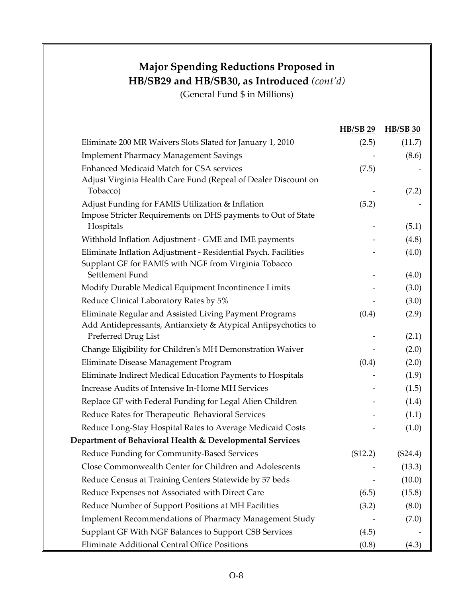|                                                                                                                         | <b>HB/SB 29</b> | <b>HB/SB 30</b> |
|-------------------------------------------------------------------------------------------------------------------------|-----------------|-----------------|
| Eliminate 200 MR Waivers Slots Slated for January 1, 2010                                                               | (2.5)           | (11.7)          |
| <b>Implement Pharmacy Management Savings</b>                                                                            |                 | (8.6)           |
| Enhanced Medicaid Match for CSA services<br>Adjust Virginia Health Care Fund (Repeal of Dealer Discount on              | (7.5)           |                 |
| Tobacco)                                                                                                                |                 | (7.2)           |
| Adjust Funding for FAMIS Utilization & Inflation<br>Impose Stricter Requirements on DHS payments to Out of State        | (5.2)           |                 |
| Hospitals                                                                                                               |                 | (5.1)           |
| Withhold Inflation Adjustment - GME and IME payments                                                                    |                 | (4.8)           |
| Eliminate Inflation Adjustment - Residential Psych. Facilities<br>Supplant GF for FAMIS with NGF from Virginia Tobacco  |                 | (4.0)           |
| Settlement Fund                                                                                                         |                 | (4.0)           |
| Modify Durable Medical Equipment Incontinence Limits                                                                    |                 | (3.0)           |
| Reduce Clinical Laboratory Rates by 5%                                                                                  |                 | (3.0)           |
| Eliminate Regular and Assisted Living Payment Programs<br>Add Antidepressants, Antianxiety & Atypical Antipsychotics to | (0.4)           | (2.9)           |
| Preferred Drug List                                                                                                     |                 | (2.1)           |
| Change Eligibility for Children's MH Demonstration Waiver                                                               |                 | (2.0)           |
| Eliminate Disease Management Program                                                                                    | (0.4)           | (2.0)           |
| Eliminate Indirect Medical Education Payments to Hospitals                                                              |                 | (1.9)           |
| Increase Audits of Intensive In-Home MH Services                                                                        |                 | (1.5)           |
| Replace GF with Federal Funding for Legal Alien Children                                                                |                 | (1.4)           |
| Reduce Rates for Therapeutic Behavioral Services                                                                        |                 | (1.1)           |
| Reduce Long-Stay Hospital Rates to Average Medicaid Costs                                                               |                 | (1.0)           |
| Department of Behavioral Health & Developmental Services                                                                |                 |                 |
| Reduce Funding for Community-Based Services                                                                             | (\$12.2)        | $(\$24.4)$      |
| Close Commonwealth Center for Children and Adolescents                                                                  |                 | (13.3)          |
| Reduce Census at Training Centers Statewide by 57 beds                                                                  |                 | (10.0)          |
| Reduce Expenses not Associated with Direct Care                                                                         | (6.5)           | (15.8)          |
| Reduce Number of Support Positions at MH Facilities                                                                     | (3.2)           | (8.0)           |
| <b>Implement Recommendations of Pharmacy Management Study</b>                                                           |                 | (7.0)           |
| Supplant GF With NGF Balances to Support CSB Services                                                                   | (4.5)           |                 |
| Eliminate Additional Central Office Positions                                                                           | (0.8)           | (4.3)           |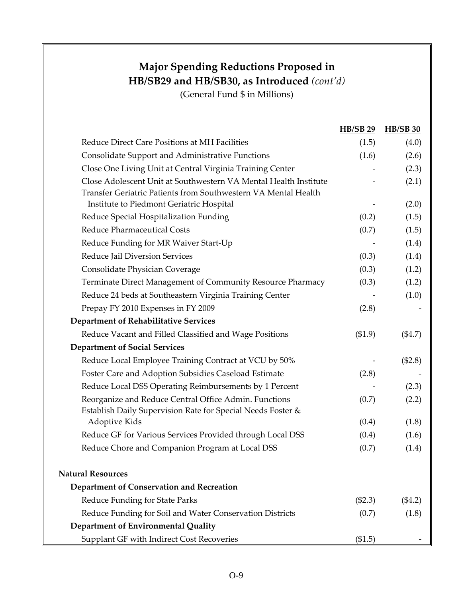|                                                                                                                                    | <b>HB/SB 29</b> | <b>HB/SB 30</b> |
|------------------------------------------------------------------------------------------------------------------------------------|-----------------|-----------------|
| Reduce Direct Care Positions at MH Facilities                                                                                      | (1.5)           | (4.0)           |
| <b>Consolidate Support and Administrative Functions</b>                                                                            | (1.6)           | (2.6)           |
| Close One Living Unit at Central Virginia Training Center                                                                          |                 | (2.3)           |
| Close Adolescent Unit at Southwestern VA Mental Health Institute<br>Transfer Geriatric Patients from Southwestern VA Mental Health |                 | (2.1)           |
| Institute to Piedmont Geriatric Hospital                                                                                           |                 | (2.0)           |
| Reduce Special Hospitalization Funding                                                                                             | (0.2)           | (1.5)           |
| <b>Reduce Pharmaceutical Costs</b>                                                                                                 | (0.7)           | (1.5)           |
| Reduce Funding for MR Waiver Start-Up                                                                                              |                 | (1.4)           |
| Reduce Jail Diversion Services                                                                                                     | (0.3)           | (1.4)           |
| Consolidate Physician Coverage                                                                                                     | (0.3)           | (1.2)           |
| Terminate Direct Management of Community Resource Pharmacy                                                                         | (0.3)           | (1.2)           |
| Reduce 24 beds at Southeastern Virginia Training Center                                                                            |                 | (1.0)           |
| Prepay FY 2010 Expenses in FY 2009                                                                                                 | (2.8)           |                 |
| <b>Department of Rehabilitative Services</b>                                                                                       |                 |                 |
| Reduce Vacant and Filled Classified and Wage Positions                                                                             | (\$1.9)         | (\$4.7)         |
| <b>Department of Social Services</b>                                                                                               |                 |                 |
| Reduce Local Employee Training Contract at VCU by 50%                                                                              |                 | (\$2.8)         |
| Foster Care and Adoption Subsidies Caseload Estimate                                                                               | (2.8)           |                 |
| Reduce Local DSS Operating Reimbursements by 1 Percent                                                                             |                 | (2.3)           |
| Reorganize and Reduce Central Office Admin. Functions<br>Establish Daily Supervision Rate for Special Needs Foster &               | (0.7)           | (2.2)           |
| Adoptive Kids                                                                                                                      | (0.4)           | (1.8)           |
| Reduce GF for Various Services Provided through Local DSS                                                                          | (0.4)           | (1.6)           |
| Reduce Chore and Companion Program at Local DSS                                                                                    | (0.7)           | (1.4)           |
| <b>Natural Resources</b>                                                                                                           |                 |                 |
| Department of Conservation and Recreation                                                                                          |                 |                 |
| Reduce Funding for State Parks                                                                                                     | (\$2.3)         | (\$4.2)         |
| Reduce Funding for Soil and Water Conservation Districts                                                                           | (0.7)           | (1.8)           |
| Department of Environmental Quality                                                                                                |                 |                 |
| Supplant GF with Indirect Cost Recoveries                                                                                          | (\$1.5)         |                 |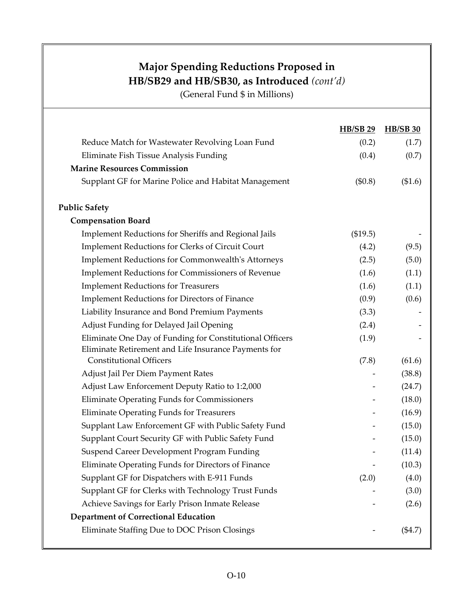|                                                          | <b>HB/SB 29</b> | <b>HB/SB 30</b> |
|----------------------------------------------------------|-----------------|-----------------|
| Reduce Match for Wastewater Revolving Loan Fund          | (0.2)           | (1.7)           |
| Eliminate Fish Tissue Analysis Funding                   | (0.4)           | (0.7)           |
| <b>Marine Resources Commission</b>                       |                 |                 |
| Supplant GF for Marine Police and Habitat Management     | (\$0.8)         | (\$1.6)         |
| <b>Public Safety</b>                                     |                 |                 |
| <b>Compensation Board</b>                                |                 |                 |
| Implement Reductions for Sheriffs and Regional Jails     | (\$19.5)        |                 |
| <b>Implement Reductions for Clerks of Circuit Court</b>  | (4.2)           | (9.5)           |
| <b>Implement Reductions for Commonwealth's Attorneys</b> | (2.5)           | (5.0)           |
| <b>Implement Reductions for Commissioners of Revenue</b> | (1.6)           | (1.1)           |
| <b>Implement Reductions for Treasurers</b>               | (1.6)           | (1.1)           |
| <b>Implement Reductions for Directors of Finance</b>     | (0.9)           | (0.6)           |
| Liability Insurance and Bond Premium Payments            | (3.3)           |                 |
| Adjust Funding for Delayed Jail Opening                  | (2.4)           |                 |
| Eliminate One Day of Funding for Constitutional Officers | (1.9)           |                 |
| Eliminate Retirement and Life Insurance Payments for     |                 |                 |
| <b>Constitutional Officers</b>                           | (7.8)           | (61.6)          |
| Adjust Jail Per Diem Payment Rates                       |                 | (38.8)          |
| Adjust Law Enforcement Deputy Ratio to 1:2,000           |                 | (24.7)          |
| Eliminate Operating Funds for Commissioners              |                 | (18.0)          |
| <b>Eliminate Operating Funds for Treasurers</b>          |                 | (16.9)          |
| Supplant Law Enforcement GF with Public Safety Fund      |                 | (15.0)          |
| Supplant Court Security GF with Public Safety Fund       |                 | (15.0)          |
| Suspend Career Development Program Funding               |                 | (11.4)          |
| Eliminate Operating Funds for Directors of Finance       |                 | (10.3)          |
| Supplant GF for Dispatchers with E-911 Funds             | (2.0)           | (4.0)           |
| Supplant GF for Clerks with Technology Trust Funds       |                 | (3.0)           |
| Achieve Savings for Early Prison Inmate Release          |                 | (2.6)           |
| <b>Department of Correctional Education</b>              |                 |                 |
| Eliminate Staffing Due to DOC Prison Closings            |                 | ( \$4.7)        |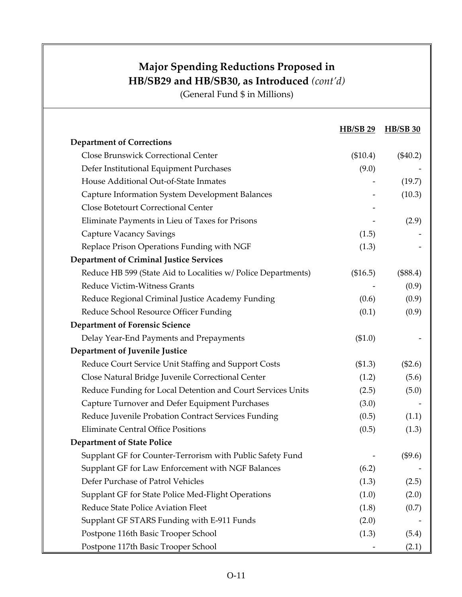|                                                               | <b>HB/SB 29</b> | <b>HB/SB 30</b> |
|---------------------------------------------------------------|-----------------|-----------------|
| <b>Department of Corrections</b>                              |                 |                 |
| Close Brunswick Correctional Center                           | (\$10.4)        | $(\$40.2)$      |
| Defer Institutional Equipment Purchases                       | (9.0)           |                 |
| House Additional Out-of-State Inmates                         |                 | (19.7)          |
| Capture Information System Development Balances               |                 | (10.3)          |
| <b>Close Botetourt Correctional Center</b>                    |                 |                 |
| Eliminate Payments in Lieu of Taxes for Prisons               |                 | (2.9)           |
| <b>Capture Vacancy Savings</b>                                | (1.5)           |                 |
| Replace Prison Operations Funding with NGF                    | (1.3)           |                 |
| <b>Department of Criminal Justice Services</b>                |                 |                 |
| Reduce HB 599 (State Aid to Localities w/ Police Departments) | (\$16.5)        | (\$88.4)        |
| <b>Reduce Victim-Witness Grants</b>                           |                 | (0.9)           |
| Reduce Regional Criminal Justice Academy Funding              | (0.6)           | (0.9)           |
| Reduce School Resource Officer Funding                        | (0.1)           | (0.9)           |
| <b>Department of Forensic Science</b>                         |                 |                 |
| Delay Year-End Payments and Prepayments                       | (\$1.0)         |                 |
| Department of Juvenile Justice                                |                 |                 |
| Reduce Court Service Unit Staffing and Support Costs          | (\$1.3)         | (\$2.6)         |
| Close Natural Bridge Juvenile Correctional Center             | (1.2)           | (5.6)           |
| Reduce Funding for Local Detention and Court Services Units   | (2.5)           | (5.0)           |
| Capture Turnover and Defer Equipment Purchases                | (3.0)           |                 |
| Reduce Juvenile Probation Contract Services Funding           | (0.5)           | (1.1)           |
| <b>Eliminate Central Office Positions</b>                     | (0.5)           | (1.3)           |
| <b>Department of State Police</b>                             |                 |                 |
| Supplant GF for Counter-Terrorism with Public Safety Fund     |                 | (\$9.6)         |
| Supplant GF for Law Enforcement with NGF Balances             | (6.2)           |                 |
| Defer Purchase of Patrol Vehicles                             | (1.3)           | (2.5)           |
| Supplant GF for State Police Med-Flight Operations            | (1.0)           | (2.0)           |
| Reduce State Police Aviation Fleet                            | (1.8)           | (0.7)           |
| Supplant GF STARS Funding with E-911 Funds                    | (2.0)           |                 |
| Postpone 116th Basic Trooper School                           | (1.3)           | (5.4)           |
| Postpone 117th Basic Trooper School                           |                 | (2.1)           |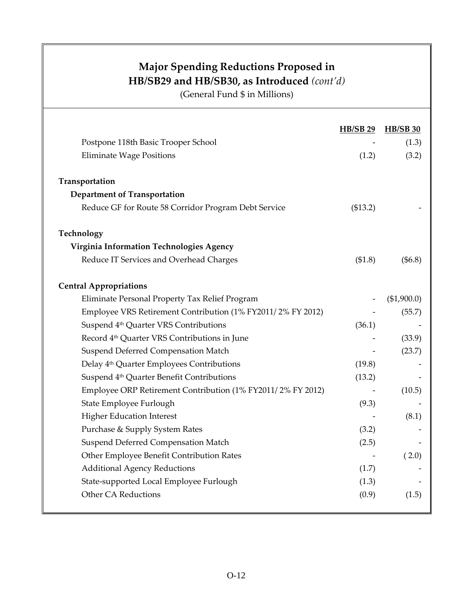|                                                             | <b>HB/SB 29</b> | <b>HB/SB 30</b> |
|-------------------------------------------------------------|-----------------|-----------------|
| Postpone 118th Basic Trooper School                         |                 | (1.3)           |
| <b>Eliminate Wage Positions</b>                             | (1.2)           | (3.2)           |
| Transportation                                              |                 |                 |
| <b>Department of Transportation</b>                         |                 |                 |
| Reduce GF for Route 58 Corridor Program Debt Service        | (\$13.2)        |                 |
| Technology                                                  |                 |                 |
| Virginia Information Technologies Agency                    |                 |                 |
| Reduce IT Services and Overhead Charges                     | (\$1.8)         | (\$6.8)         |
| <b>Central Appropriations</b>                               |                 |                 |
| Eliminate Personal Property Tax Relief Program              |                 | (\$1,900.0)     |
| Employee VRS Retirement Contribution (1% FY2011/2% FY 2012) |                 | (55.7)          |
| Suspend 4 <sup>th</sup> Quarter VRS Contributions           | (36.1)          |                 |
| Record 4 <sup>th</sup> Quarter VRS Contributions in June    |                 | (33.9)          |
| Suspend Deferred Compensation Match                         |                 | (23.7)          |
| Delay 4 <sup>th</sup> Quarter Employees Contributions       | (19.8)          |                 |
| Suspend 4 <sup>th</sup> Quarter Benefit Contributions       | (13.2)          |                 |
| Employee ORP Retirement Contribution (1% FY2011/2% FY 2012) |                 | (10.5)          |
| State Employee Furlough                                     | (9.3)           |                 |
| <b>Higher Education Interest</b>                            |                 | (8.1)           |
| Purchase & Supply System Rates                              | (3.2)           |                 |
| Suspend Deferred Compensation Match                         | (2.5)           |                 |
| Other Employee Benefit Contribution Rates                   |                 | (2.0)           |
| <b>Additional Agency Reductions</b>                         | (1.7)           |                 |
| State-supported Local Employee Furlough                     | (1.3)           |                 |
| <b>Other CA Reductions</b>                                  | (0.9)           | (1.5)           |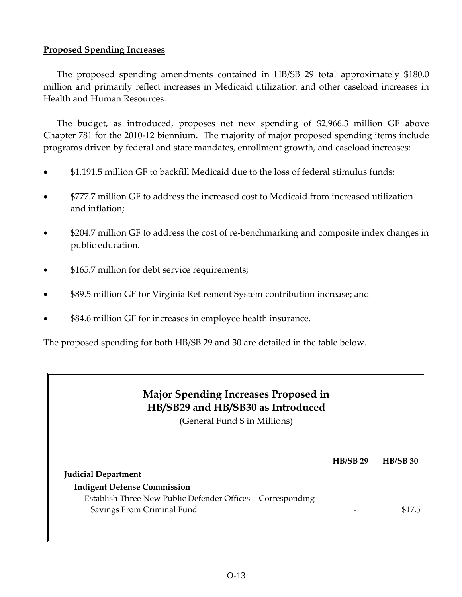#### **Proposed Spending Increases**

The proposed spending amendments contained in HB/SB 29 total approximately \$180.0 million and primarily reflect increases in Medicaid utilization and other caseload increases in Health and Human Resources.

The budget, as introduced, proposes net new spending of \$2,966.3 million GF above Chapter 781 for the 2010‐12 biennium. The majority of major proposed spending items include programs driven by federal and state mandates, enrollment growth, and caseload increases:

- \$1,191.5 million GF to backfill Medicaid due to the loss of federal stimulus funds;
- \$777.7 million GF to address the increased cost to Medicaid from increased utilization and inflation;
- \$204.7 million GF to address the cost of re‐benchmarking and composite index changes in public education.
- \$165.7 million for debt service requirements;
- \$89.5 million GF for Virginia Retirement System contribution increase; and
- \$84.6 million GF for increases in employee health insurance.

The proposed spending for both HB/SB 29 and 30 are detailed in the table below.

#### **Major Spending Increases Proposed in HB/SB29 and HB/SB30 as Introduced**

|                                                             | $HB/SB$ 29 | $HB/SB$ 30 |
|-------------------------------------------------------------|------------|------------|
| <b>Judicial Department</b>                                  |            |            |
| <b>Indigent Defense Commission</b>                          |            |            |
| Establish Three New Public Defender Offices - Corresponding |            |            |
| Savings From Criminal Fund                                  |            | \$17.5     |
|                                                             |            |            |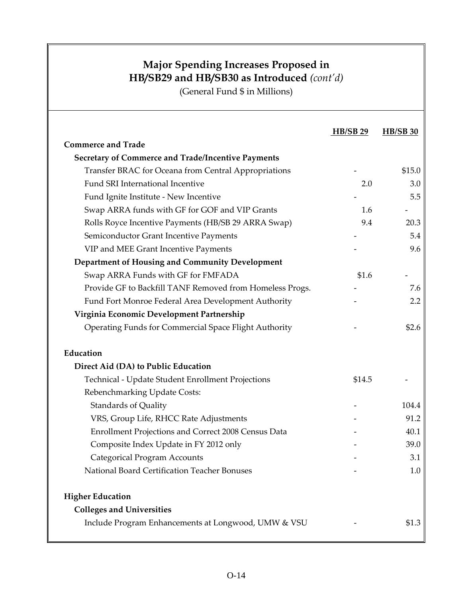|                                                           | <b>HB/SB 29</b> | <b>HB/SB 30</b> |
|-----------------------------------------------------------|-----------------|-----------------|
| <b>Commerce and Trade</b>                                 |                 |                 |
| <b>Secretary of Commerce and Trade/Incentive Payments</b> |                 |                 |
| Transfer BRAC for Oceana from Central Appropriations      |                 | \$15.0          |
| Fund SRI International Incentive                          | 2.0             | 3.0             |
| Fund Ignite Institute - New Incentive                     |                 | 5.5             |
| Swap ARRA funds with GF for GOF and VIP Grants            | 1.6             |                 |
| Rolls Royce Incentive Payments (HB/SB 29 ARRA Swap)       | 9.4             | 20.3            |
| Semiconductor Grant Incentive Payments                    |                 | 5.4             |
| VIP and MEE Grant Incentive Payments                      |                 | 9.6             |
| Department of Housing and Community Development           |                 |                 |
| Swap ARRA Funds with GF for FMFADA                        | \$1.6           |                 |
| Provide GF to Backfill TANF Removed from Homeless Progs.  |                 | 7.6             |
| Fund Fort Monroe Federal Area Development Authority       |                 | 2.2             |
| Virginia Economic Development Partnership                 |                 |                 |
| Operating Funds for Commercial Space Flight Authority     |                 | \$2.6           |
| Education                                                 |                 |                 |
| Direct Aid (DA) to Public Education                       |                 |                 |
| Technical - Update Student Enrollment Projections         | \$14.5          |                 |
| Rebenchmarking Update Costs:                              |                 |                 |
| <b>Standards of Quality</b>                               |                 | 104.4           |
| VRS, Group Life, RHCC Rate Adjustments                    |                 | 91.2            |
| Enrollment Projections and Correct 2008 Census Data       |                 | 40.1            |
| Composite Index Update in FY 2012 only                    |                 | 39.0            |
| <b>Categorical Program Accounts</b>                       |                 | 3.1             |
| National Board Certification Teacher Bonuses              |                 | $1.0\,$         |
| <b>Higher Education</b>                                   |                 |                 |
| <b>Colleges and Universities</b>                          |                 |                 |
| Include Program Enhancements at Longwood, UMW & VSU       |                 | \$1.3           |
|                                                           |                 |                 |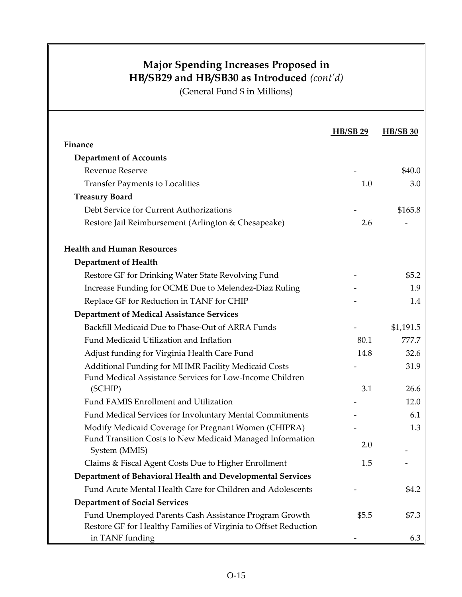|                                                                                                                           | <b>HB/SB 29</b> | <b>HB/SB 30</b> |
|---------------------------------------------------------------------------------------------------------------------------|-----------------|-----------------|
| <b>Finance</b>                                                                                                            |                 |                 |
| <b>Department of Accounts</b>                                                                                             |                 |                 |
| <b>Revenue Reserve</b>                                                                                                    |                 | \$40.0          |
| <b>Transfer Payments to Localities</b>                                                                                    | 1.0             | 3.0             |
| <b>Treasury Board</b>                                                                                                     |                 |                 |
| Debt Service for Current Authorizations                                                                                   |                 | \$165.8         |
| Restore Jail Reimbursement (Arlington & Chesapeake)                                                                       | 2.6             |                 |
| <b>Health and Human Resources</b>                                                                                         |                 |                 |
| <b>Department of Health</b>                                                                                               |                 |                 |
| Restore GF for Drinking Water State Revolving Fund                                                                        |                 | \$5.2           |
| Increase Funding for OCME Due to Melendez-Diaz Ruling                                                                     |                 | 1.9             |
| Replace GF for Reduction in TANF for CHIP                                                                                 |                 | 1.4             |
| <b>Department of Medical Assistance Services</b>                                                                          |                 |                 |
| Backfill Medicaid Due to Phase-Out of ARRA Funds                                                                          |                 | \$1,191.5       |
| Fund Medicaid Utilization and Inflation                                                                                   | 80.1            | 777.7           |
| Adjust funding for Virginia Health Care Fund                                                                              | 14.8            | 32.6            |
| Additional Funding for MHMR Facility Medicaid Costs<br>Fund Medical Assistance Services for Low-Income Children           |                 | 31.9            |
| (SCHIP)                                                                                                                   | 3.1             | 26.6            |
| Fund FAMIS Enrollment and Utilization                                                                                     |                 | 12.0            |
| Fund Medical Services for Involuntary Mental Commitments                                                                  |                 | 6.1             |
| Modify Medicaid Coverage for Pregnant Women (CHIPRA)                                                                      |                 | 1.3             |
| Fund Transition Costs to New Medicaid Managed Information<br>System (MMIS)                                                | 2.0             |                 |
| Claims & Fiscal Agent Costs Due to Higher Enrollment                                                                      | 1.5             |                 |
| Department of Behavioral Health and Developmental Services                                                                |                 |                 |
| Fund Acute Mental Health Care for Children and Adolescents                                                                |                 | \$4.2           |
| <b>Department of Social Services</b>                                                                                      |                 |                 |
| Fund Unemployed Parents Cash Assistance Program Growth<br>Restore GF for Healthy Families of Virginia to Offset Reduction | \$5.5           | \$7.3           |
| in TANF funding                                                                                                           |                 | 6.3             |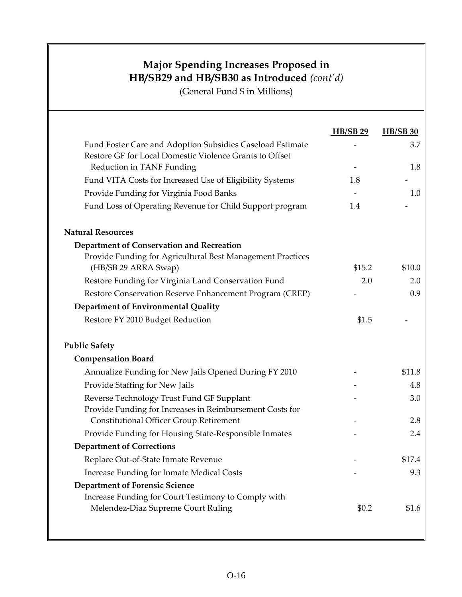|                                                            | <b>HB/SB 29</b> | <b>HB/SB 30</b> |
|------------------------------------------------------------|-----------------|-----------------|
| Fund Foster Care and Adoption Subsidies Caseload Estimate  |                 | 3.7             |
| Restore GF for Local Domestic Violence Grants to Offset    |                 |                 |
| Reduction in TANF Funding                                  |                 | 1.8             |
| Fund VITA Costs for Increased Use of Eligibility Systems   | 1.8             |                 |
| Provide Funding for Virginia Food Banks                    |                 | 1.0             |
| Fund Loss of Operating Revenue for Child Support program   | 1.4             |                 |
| <b>Natural Resources</b>                                   |                 |                 |
| Department of Conservation and Recreation                  |                 |                 |
| Provide Funding for Agricultural Best Management Practices |                 |                 |
| (HB/SB 29 ARRA Swap)                                       | \$15.2          | \$10.0          |
| Restore Funding for Virginia Land Conservation Fund        | 2.0             | 2.0             |
| Restore Conservation Reserve Enhancement Program (CREP)    |                 | 0.9             |
| Department of Environmental Quality                        |                 |                 |
| Restore FY 2010 Budget Reduction                           | \$1.5           |                 |
| <b>Public Safety</b>                                       |                 |                 |
| <b>Compensation Board</b>                                  |                 |                 |
| Annualize Funding for New Jails Opened During FY 2010      |                 | \$11.8          |
| Provide Staffing for New Jails                             |                 | 4.8             |
| Reverse Technology Trust Fund GF Supplant                  |                 | 3.0             |
| Provide Funding for Increases in Reimbursement Costs for   |                 |                 |
| <b>Constitutional Officer Group Retirement</b>             |                 | 2.8             |
| Provide Funding for Housing State-Responsible Inmates      |                 | 2.4             |
| <b>Department of Corrections</b>                           |                 |                 |
| Replace Out-of-State Inmate Revenue                        |                 | \$17.4          |
| <b>Increase Funding for Inmate Medical Costs</b>           |                 | 9.3             |
| <b>Department of Forensic Science</b>                      |                 |                 |
| Increase Funding for Court Testimony to Comply with        |                 |                 |
| Melendez-Diaz Supreme Court Ruling                         | \$0.2           | \$1.6           |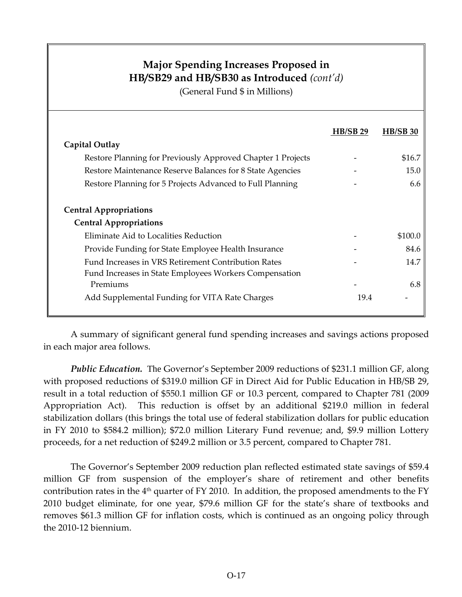(General Fund \$ in Millions)

|                                                                    | $HB/SB$ 29 | <b>HB/SB 30</b> |
|--------------------------------------------------------------------|------------|-----------------|
| Capital Outlay                                                     |            |                 |
| Restore Planning for Previously Approved Chapter 1 Projects        |            | \$16.7          |
| Restore Maintenance Reserve Balances for 8 State Agencies          |            | 15.0            |
| Restore Planning for 5 Projects Advanced to Full Planning          |            | 6.6             |
| <b>Central Appropriations</b>                                      |            |                 |
| <b>Central Appropriations</b>                                      |            |                 |
| Eliminate Aid to Localities Reduction                              |            | \$100.0         |
| Provide Funding for State Employee Health Insurance                |            | 84.6            |
| Fund Increases in VRS Retirement Contribution Rates                |            | 14.7            |
| Fund Increases in State Employees Workers Compensation<br>Premiums |            | 6.8             |
| Add Supplemental Funding for VITA Rate Charges                     | 19.4       |                 |
|                                                                    |            |                 |

A summary of significant general fund spending increases and savings actions proposed in each major area follows.

*Public Education.* The Governor's September 2009 reductions of \$231.1 million GF, along with proposed reductions of \$319.0 million GF in Direct Aid for Public Education in HB/SB 29, result in a total reduction of \$550.1 million GF or 10.3 percent, compared to Chapter 781 (2009 Appropriation Act). This reduction is offset by an additional \$219.0 million in federal stabilization dollars (this brings the total use of federal stabilization dollars for public education in FY 2010 to \$584.2 million); \$72.0 million Literary Fund revenue; and, \$9.9 million Lottery proceeds, for a net reduction of \$249.2 million or 3.5 percent, compared to Chapter 781.

The Governor's September 2009 reduction plan reflected estimated state savings of \$59.4 million GF from suspension of the employer's share of retirement and other benefits contribution rates in the  $4<sup>th</sup>$  quarter of FY 2010. In addition, the proposed amendments to the FY 2010 budget eliminate, for one year, \$79.6 million GF for the state's share of textbooks and removes \$61.3 million GF for inflation costs, which is continued as an ongoing policy through the 2010‐12 biennium.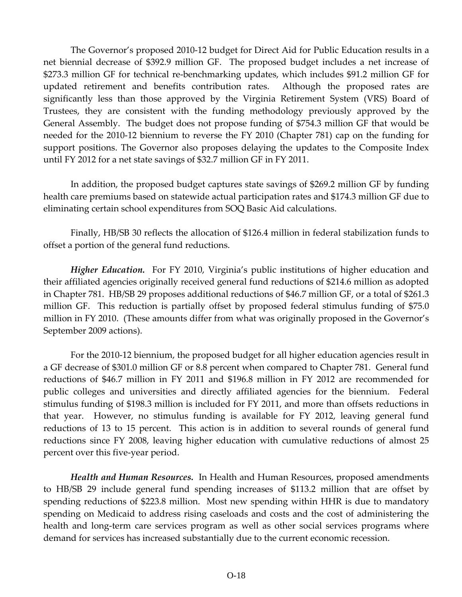The Governor's proposed 2010‐12 budget for Direct Aid for Public Education results in a net biennial decrease of \$392.9 million GF. The proposed budget includes a net increase of \$273.3 million GF for technical re‐benchmarking updates, which includes \$91.2 million GF for updated retirement and benefits contribution rates. Although the proposed rates are significantly less than those approved by the Virginia Retirement System (VRS) Board of Trustees, they are consistent with the funding methodology previously approved by the General Assembly. The budget does not propose funding of \$754.3 million GF that would be needed for the 2010‐12 biennium to reverse the FY 2010 (Chapter 781) cap on the funding for support positions. The Governor also proposes delaying the updates to the Composite Index until FY 2012 for a net state savings of \$32.7 million GF in FY 2011.

In addition, the proposed budget captures state savings of \$269.2 million GF by funding health care premiums based on statewide actual participation rates and \$174.3 million GF due to eliminating certain school expenditures from SOQ Basic Aid calculations.

Finally, HB/SB 30 reflects the allocation of \$126.4 million in federal stabilization funds to offset a portion of the general fund reductions.

*Higher Education.* For FY 2010, Virginia's public institutions of higher education and their affiliated agencies originally received general fund reductions of \$214.6 million as adopted in Chapter 781. HB/SB 29 proposes additional reductions of \$46.7 million GF, or a total of \$261.3 million GF. This reduction is partially offset by proposed federal stimulus funding of \$75.0 million in FY 2010. (These amounts differ from what was originally proposed in the Governor's September 2009 actions).

For the 2010‐12 biennium, the proposed budget for all higher education agencies result in a GF decrease of \$301.0 million GF or 8.8 percent when compared to Chapter 781. General fund reductions of \$46.7 million in FY 2011 and \$196.8 million in FY 2012 are recommended for public colleges and universities and directly affiliated agencies for the biennium. Federal stimulus funding of \$198.3 million is included for FY 2011, and more than offsets reductions in that year. However, no stimulus funding is available for FY 2012, leaving general fund reductions of 13 to 15 percent. This action is in addition to several rounds of general fund reductions since FY 2008, leaving higher education with cumulative reductions of almost 25 percent over this five‐year period.

*Health and Human Resources.* In Health and Human Resources, proposed amendments to HB/SB 29 include general fund spending increases of \$113.2 million that are offset by spending reductions of \$223.8 million. Most new spending within HHR is due to mandatory spending on Medicaid to address rising caseloads and costs and the cost of administering the health and long-term care services program as well as other social services programs where demand for services has increased substantially due to the current economic recession.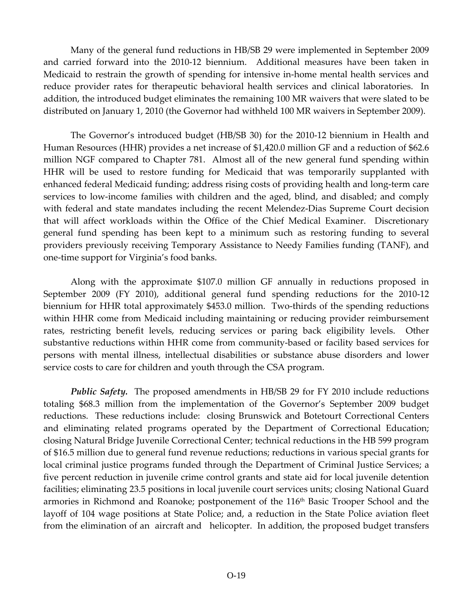Many of the general fund reductions in HB/SB 29 were implemented in September 2009 and carried forward into the 2010‐12 biennium. Additional measures have been taken in Medicaid to restrain the growth of spending for intensive in‐home mental health services and reduce provider rates for therapeutic behavioral health services and clinical laboratories. In addition, the introduced budget eliminates the remaining 100 MR waivers that were slated to be distributed on January 1, 2010 (the Governor had withheld 100 MR waivers in September 2009).

The Governor's introduced budget (HB/SB 30) for the 2010‐12 biennium in Health and Human Resources (HHR) provides a net increase of \$1,420.0 million GF and a reduction of \$62.6 million NGF compared to Chapter 781. Almost all of the new general fund spending within HHR will be used to restore funding for Medicaid that was temporarily supplanted with enhanced federal Medicaid funding; address rising costs of providing health and long‐term care services to low‐income families with children and the aged, blind, and disabled; and comply with federal and state mandates including the recent Melendez-Dias Supreme Court decision that will affect workloads within the Office of the Chief Medical Examiner. Discretionary general fund spending has been kept to a minimum such as restoring funding to several providers previously receiving Temporary Assistance to Needy Families funding (TANF), and one‐time support for Virginia's food banks.

Along with the approximate \$107.0 million GF annually in reductions proposed in September 2009 (FY 2010), additional general fund spending reductions for the 2010-12 biennium for HHR total approximately \$453.0 million. Two-thirds of the spending reductions within HHR come from Medicaid including maintaining or reducing provider reimbursement rates, restricting benefit levels, reducing services or paring back eligibility levels. Other substantive reductions within HHR come from community‐based or facility based services for persons with mental illness, intellectual disabilities or substance abuse disorders and lower service costs to care for children and youth through the CSA program.

*Public Safety.* The proposed amendments in HB/SB 29 for FY 2010 include reductions totaling \$68.3 million from the implementation of the Governor's September 2009 budget reductions. These reductions include: closing Brunswick and Botetourt Correctional Centers and eliminating related programs operated by the Department of Correctional Education; closing Natural Bridge Juvenile Correctional Center; technical reductions in the HB 599 program of \$16.5 million due to general fund revenue reductions; reductions in various special grants for local criminal justice programs funded through the Department of Criminal Justice Services; a five percent reduction in juvenile crime control grants and state aid for local juvenile detention facilities; eliminating 23.5 positions in local juvenile court services units; closing National Guard armories in Richmond and Roanoke; postponement of the 116<sup>th</sup> Basic Trooper School and the layoff of 104 wage positions at State Police; and, a reduction in the State Police aviation fleet from the elimination of an aircraft and helicopter. In addition, the proposed budget transfers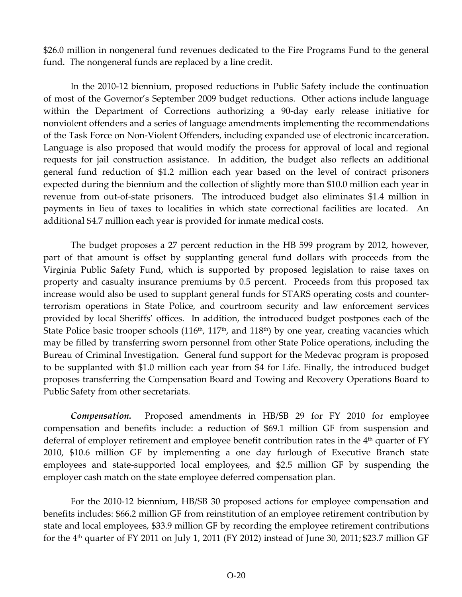\$26.0 million in nongeneral fund revenues dedicated to the Fire Programs Fund to the general fund. The nongeneral funds are replaced by a line credit.

In the 2010‐12 biennium, proposed reductions in Public Safety include the continuation of most of the Governor's September 2009 budget reductions. Other actions include language within the Department of Corrections authorizing a 90‐day early release initiative for nonviolent offenders and a series of language amendments implementing the recommendations of the Task Force on Non‐Violent Offenders, including expanded use of electronic incarceration. Language is also proposed that would modify the process for approval of local and regional requests for jail construction assistance. In addition, the budget also reflects an additional general fund reduction of \$1.2 million each year based on the level of contract prisoners expected during the biennium and the collection of slightly more than \$10.0 million each year in revenue from out-of-state prisoners. The introduced budget also eliminates \$1.4 million in payments in lieu of taxes to localities in which state correctional facilities are located. An additional \$4.7 million each year is provided for inmate medical costs.

The budget proposes a 27 percent reduction in the HB 599 program by 2012, however, part of that amount is offset by supplanting general fund dollars with proceeds from the Virginia Public Safety Fund, which is supported by proposed legislation to raise taxes on property and casualty insurance premiums by 0.5 percent. Proceeds from this proposed tax increase would also be used to supplant general funds for STARS operating costs and counter‐ terrorism operations in State Police, and courtroom security and law enforcement services provided by local Sheriffs' offices. In addition, the introduced budget postpones each of the State Police basic trooper schools  $(116<sup>th</sup>, 117<sup>th</sup>)$ , and  $118<sup>th</sup>$ ) by one year, creating vacancies which may be filled by transferring sworn personnel from other State Police operations, including the Bureau of Criminal Investigation. General fund support for the Medevac program is proposed to be supplanted with \$1.0 million each year from \$4 for Life. Finally, the introduced budget proposes transferring the Compensation Board and Towing and Recovery Operations Board to Public Safety from other secretariats.

**Compensation.** Proposed amendments in HB/SB 29 for FY 2010 for employee compensation and benefits include: a reduction of \$69.1 million GF from suspension and deferral of employer retirement and employee benefit contribution rates in the 4<sup>th</sup> quarter of FY 2010, \$10.6 million GF by implementing a one day furlough of Executive Branch state employees and state‐supported local employees, and \$2.5 million GF by suspending the employer cash match on the state employee deferred compensation plan.

For the 2010‐12 biennium, HB/SB 30 proposed actions for employee compensation and benefits includes: \$66.2 million GF from reinstitution of an employee retirement contribution by state and local employees, \$33.9 million GF by recording the employee retirement contributions for the  $4<sup>th</sup>$  quarter of FY 2011 on July 1, 2011 (FY 2012) instead of June 30, 2011; \$23.7 million GF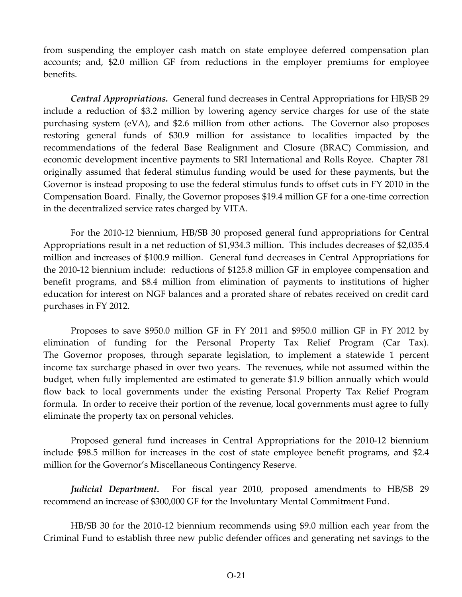from suspending the employer cash match on state employee deferred compensation plan accounts; and, \$2.0 million GF from reductions in the employer premiums for employee benefits.

*Central Appropriations.* General fund decreases in Central Appropriations for HB/SB 29 include a reduction of \$3.2 million by lowering agency service charges for use of the state purchasing system (eVA), and \$2.6 million from other actions. The Governor also proposes restoring general funds of \$30.9 million for assistance to localities impacted by the recommendations of the federal Base Realignment and Closure (BRAC) Commission, and economic development incentive payments to SRI International and Rolls Royce. Chapter 781 originally assumed that federal stimulus funding would be used for these payments, but the Governor is instead proposing to use the federal stimulus funds to offset cuts in FY 2010 in the Compensation Board. Finally, the Governor proposes \$19.4 million GF for a one‐time correction in the decentralized service rates charged by VITA.

For the 2010‐12 biennium, HB/SB 30 proposed general fund appropriations for Central Appropriations result in a net reduction of \$1,934.3 million. This includes decreases of \$2,035.4 million and increases of \$100.9 million. General fund decreases in Central Appropriations for the 2010‐12 biennium include: reductions of \$125.8 million GF in employee compensation and benefit programs, and \$8.4 million from elimination of payments to institutions of higher education for interest on NGF balances and a prorated share of rebates received on credit card purchases in FY 2012.

Proposes to save \$950.0 million GF in FY 2011 and \$950.0 million GF in FY 2012 by elimination of funding for the Personal Property Tax Relief Program (Car Tax). The Governor proposes, through separate legislation, to implement a statewide 1 percent income tax surcharge phased in over two years. The revenues, while not assumed within the budget, when fully implemented are estimated to generate \$1.9 billion annually which would flow back to local governments under the existing Personal Property Tax Relief Program formula. In order to receive their portion of the revenue, local governments must agree to fully eliminate the property tax on personal vehicles.

Proposed general fund increases in Central Appropriations for the 2010‐12 biennium include \$98.5 million for increases in the cost of state employee benefit programs, and \$2.4 million for the Governor's Miscellaneous Contingency Reserve.

*Judicial Department*. For fiscal year 2010, proposed amendments to HB/SB 29 recommend an increase of \$300,000 GF for the Involuntary Mental Commitment Fund.

HB/SB 30 for the 2010‐12 biennium recommends using \$9.0 million each year from the Criminal Fund to establish three new public defender offices and generating net savings to the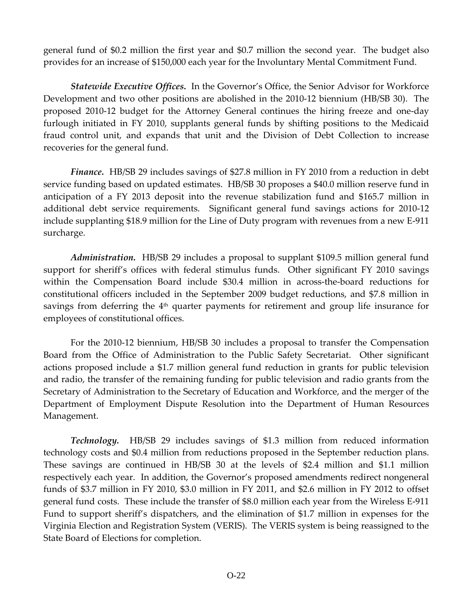general fund of \$0.2 million the first year and \$0.7 million the second year. The budget also provides for an increase of \$150,000 each year for the Involuntary Mental Commitment Fund.

*Statewide Executive Offices.* In the Governor's Office, the Senior Advisor for Workforce Development and two other positions are abolished in the 2010‐12 biennium (HB/SB 30). The proposed 2010‐12 budget for the Attorney General continues the hiring freeze and one‐day furlough initiated in FY 2010, supplants general funds by shifting positions to the Medicaid fraud control unit, and expands that unit and the Division of Debt Collection to increase recoveries for the general fund.

*Finance.* HB/SB 29 includes savings of \$27.8 million in FY 2010 from a reduction in debt service funding based on updated estimates. HB/SB 30 proposes a \$40.0 million reserve fund in anticipation of a FY 2013 deposit into the revenue stabilization fund and \$165.7 million in additional debt service requirements. Significant general fund savings actions for 2010-12 include supplanting \$18.9 million for the Line of Duty program with revenues from a new E‐911 surcharge.

*Administration.* HB/SB 29 includes a proposal to supplant \$109.5 million general fund support for sheriff's offices with federal stimulus funds. Other significant FY 2010 savings within the Compensation Board include \$30.4 million in across-the-board reductions for constitutional officers included in the September 2009 budget reductions, and \$7.8 million in savings from deferring the  $4<sup>th</sup>$  quarter payments for retirement and group life insurance for employees of constitutional offices.

For the 2010‐12 biennium, HB/SB 30 includes a proposal to transfer the Compensation Board from the Office of Administration to the Public Safety Secretariat. Other significant actions proposed include a \$1.7 million general fund reduction in grants for public television and radio, the transfer of the remaining funding for public television and radio grants from the Secretary of Administration to the Secretary of Education and Workforce, and the merger of the Department of Employment Dispute Resolution into the Department of Human Resources Management.

**Technology.** HB/SB 29 includes savings of \$1.3 million from reduced information technology costs and \$0.4 million from reductions proposed in the September reduction plans. These savings are continued in HB/SB 30 at the levels of \$2.4 million and \$1.1 million respectively each year. In addition, the Governor's proposed amendments redirect nongeneral funds of \$3.7 million in FY 2010, \$3.0 million in FY 2011, and \$2.6 million in FY 2012 to offset general fund costs. These include the transfer of \$8.0 million each year from the Wireless E‐911 Fund to support sheriff's dispatchers, and the elimination of \$1.7 million in expenses for the Virginia Election and Registration System (VERIS). The VERIS system is being reassigned to the State Board of Elections for completion.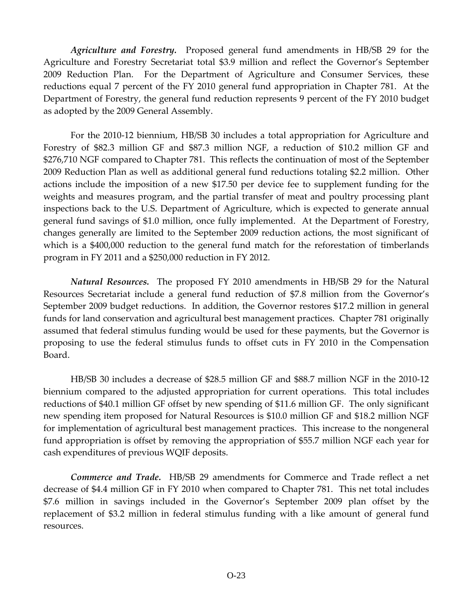*Agriculture and Forestry.* Proposed general fund amendments in HB/SB 29 for the Agriculture and Forestry Secretariat total \$3.9 million and reflect the Governor's September 2009 Reduction Plan. For the Department of Agriculture and Consumer Services, these reductions equal 7 percent of the FY 2010 general fund appropriation in Chapter 781. At the Department of Forestry, the general fund reduction represents 9 percent of the FY 2010 budget as adopted by the 2009 General Assembly.

For the 2010‐12 biennium, HB/SB 30 includes a total appropriation for Agriculture and Forestry of \$82.3 million GF and \$87.3 million NGF, a reduction of \$10.2 million GF and \$276,710 NGF compared to Chapter 781. This reflects the continuation of most of the September 2009 Reduction Plan as well as additional general fund reductions totaling \$2.2 million. Other actions include the imposition of a new \$17.50 per device fee to supplement funding for the weights and measures program, and the partial transfer of meat and poultry processing plant inspections back to the U.S. Department of Agriculture, which is expected to generate annual general fund savings of \$1.0 million, once fully implemented. At the Department of Forestry, changes generally are limited to the September 2009 reduction actions, the most significant of which is a \$400,000 reduction to the general fund match for the reforestation of timberlands program in FY 2011 and a \$250,000 reduction in FY 2012.

*Natural Resources.* The proposed FY 2010 amendments in HB/SB 29 for the Natural Resources Secretariat include a general fund reduction of \$7.8 million from the Governor's September 2009 budget reductions. In addition, the Governor restores \$17.2 million in general funds for land conservation and agricultural best management practices. Chapter 781 originally assumed that federal stimulus funding would be used for these payments, but the Governor is proposing to use the federal stimulus funds to offset cuts in FY 2010 in the Compensation Board.

HB/SB 30 includes a decrease of \$28.5 million GF and \$88.7 million NGF in the 2010‐12 biennium compared to the adjusted appropriation for current operations. This total includes reductions of \$40.1 million GF offset by new spending of \$11.6 million GF. The only significant new spending item proposed for Natural Resources is \$10.0 million GF and \$18.2 million NGF for implementation of agricultural best management practices. This increase to the nongeneral fund appropriation is offset by removing the appropriation of \$55.7 million NGF each year for cash expenditures of previous WQIF deposits.

*Commerce and Trade.* HB/SB 29 amendments for Commerce and Trade reflect a net decrease of \$4.4 million GF in FY 2010 when compared to Chapter 781. This net total includes \$7.6 million in savings included in the Governor's September 2009 plan offset by the replacement of \$3.2 million in federal stimulus funding with a like amount of general fund resources.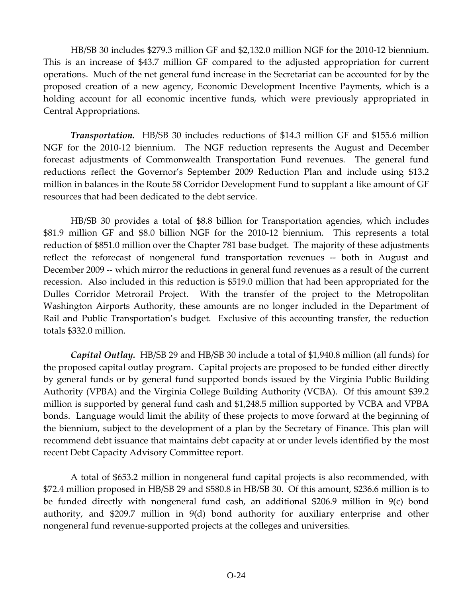HB/SB 30 includes \$279.3 million GF and \$2,132.0 million NGF for the 2010‐12 biennium. This is an increase of \$43.7 million GF compared to the adjusted appropriation for current operations. Much of the net general fund increase in the Secretariat can be accounted for by the proposed creation of a new agency, Economic Development Incentive Payments, which is a holding account for all economic incentive funds, which were previously appropriated in Central Appropriations.

*Transportation.* HB/SB 30 includes reductions of \$14.3 million GF and \$155.6 million NGF for the 2010-12 biennium. The NGF reduction represents the August and December forecast adjustments of Commonwealth Transportation Fund revenues. The general fund reductions reflect the Governor's September 2009 Reduction Plan and include using \$13.2 million in balances in the Route 58 Corridor Development Fund to supplant a like amount of GF resources that had been dedicated to the debt service.

HB/SB 30 provides a total of \$8.8 billion for Transportation agencies, which includes \$81.9 million GF and \$8.0 billion NGF for the 2010‐12 biennium. This represents a total reduction of \$851.0 million over the Chapter 781 base budget. The majority of these adjustments reflect the reforecast of nongeneral fund transportation revenues ‐‐ both in August and December 2009 -- which mirror the reductions in general fund revenues as a result of the current recession. Also included in this reduction is \$519.0 million that had been appropriated for the Dulles Corridor Metrorail Project. With the transfer of the project to the Metropolitan Washington Airports Authority, these amounts are no longer included in the Department of Rail and Public Transportation's budget. Exclusive of this accounting transfer, the reduction totals \$332.0 million.

*Capital Outlay.* HB/SB 29 and HB/SB 30 include a total of \$1,940.8 million (all funds) for the proposed capital outlay program. Capital projects are proposed to be funded either directly by general funds or by general fund supported bonds issued by the Virginia Public Building Authority (VPBA) and the Virginia College Building Authority (VCBA). Of this amount \$39.2 million is supported by general fund cash and \$1,248.5 million supported by VCBA and VPBA bonds. Language would limit the ability of these projects to move forward at the beginning of the biennium, subject to the development of a plan by the Secretary of Finance. This plan will recommend debt issuance that maintains debt capacity at or under levels identified by the most recent Debt Capacity Advisory Committee report.

A total of \$653.2 million in nongeneral fund capital projects is also recommended, with \$72.4 million proposed in HB/SB 29 and \$580.8 in HB/SB 30. Of this amount, \$236.6 million is to be funded directly with nongeneral fund cash, an additional \$206.9 million in 9(c) bond authority, and \$209.7 million in 9(d) bond authority for auxiliary enterprise and other nongeneral fund revenue‐supported projects at the colleges and universities.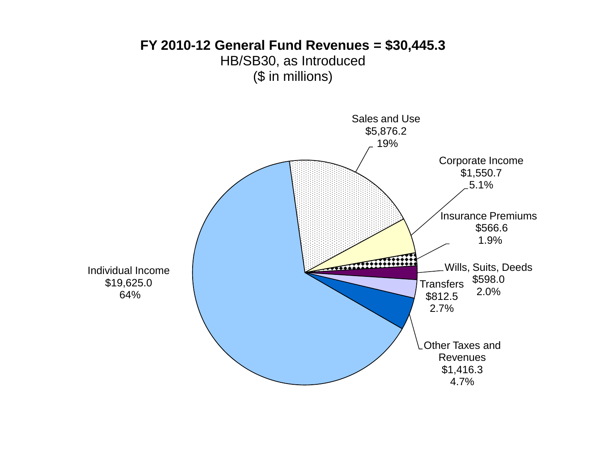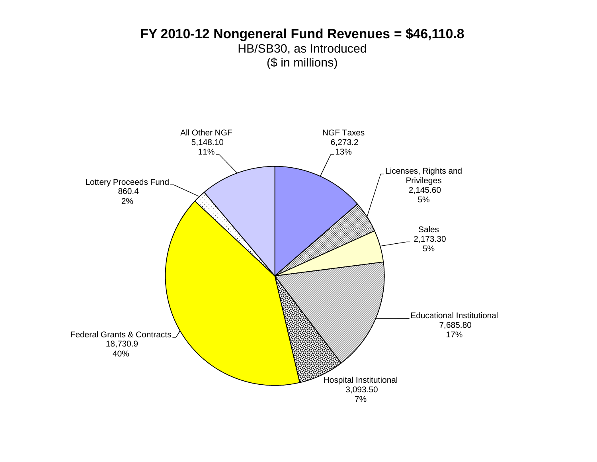### **FY 2010-12 Nongeneral Fund Revenues = \$46,110.8** HB/SB30, as Introduced (\$ in millions)

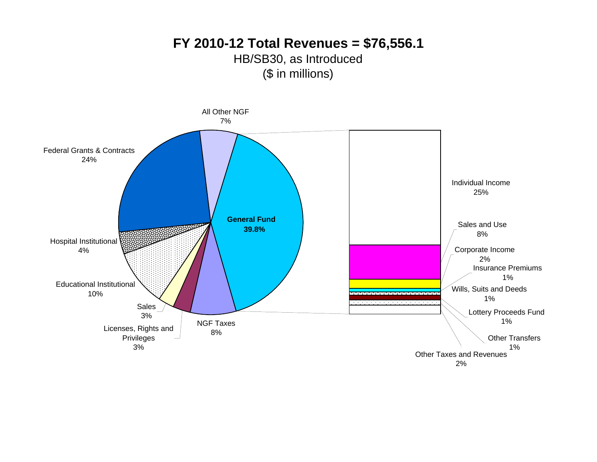### **FY 2010-12 Total Revenues = \$76,556.1** HB/SB30, as Introduced (\$ in millions)

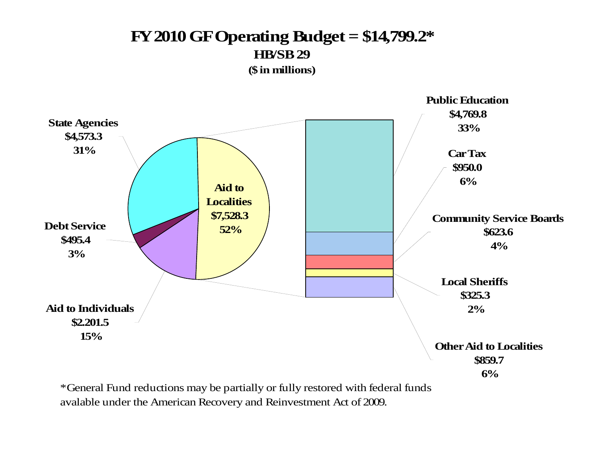## **FY 2010 GF Operating Budget = \$14,799.2\* HB/SB 29(\$ in millions)**



\* General Fund reductions may be partially or fully restored with federal funds avalable under the American Recovery and Reinvestment Act of 2009.